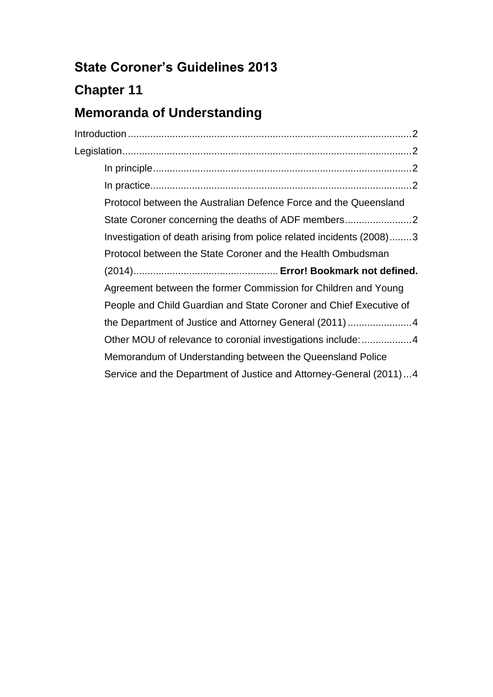# **State Coroner's Guidelines 2013**

# **Chapter 11**

## **Memoranda of Understanding**

| Protocol between the Australian Defence Force and the Queensland     |
|----------------------------------------------------------------------|
| State Coroner concerning the deaths of ADF members                   |
| Investigation of death arising from police related incidents (2008)3 |
| Protocol between the State Coroner and the Health Ombudsman          |
|                                                                      |
|                                                                      |
| Agreement between the former Commission for Children and Young       |
| People and Child Guardian and State Coroner and Chief Executive of   |
|                                                                      |
| Other MOU of relevance to coronial investigations include: 4         |
| Memorandum of Understanding between the Queensland Police            |
| Service and the Department of Justice and Attorney-General (2011)4   |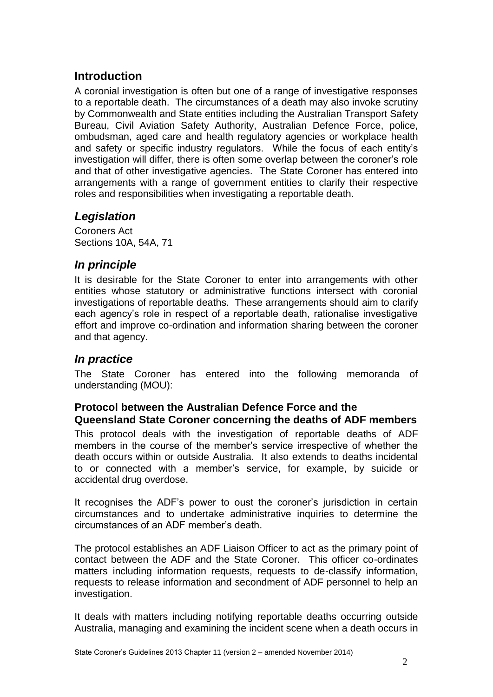## <span id="page-1-0"></span>**Introduction**

A coronial investigation is often but one of a range of investigative responses to a reportable death. The circumstances of a death may also invoke scrutiny by Commonwealth and State entities including the Australian Transport Safety Bureau, Civil Aviation Safety Authority, Australian Defence Force, police, ombudsman, aged care and health regulatory agencies or workplace health and safety or specific industry regulators. While the focus of each entity's investigation will differ, there is often some overlap between the coroner's role and that of other investigative agencies. The State Coroner has entered into arrangements with a range of government entities to clarify their respective roles and responsibilities when investigating a reportable death.

## <span id="page-1-1"></span>*Legislation*

Coroners Act Sections 10A, 54A, 71

## <span id="page-1-2"></span>*In principle*

It is desirable for the State Coroner to enter into arrangements with other entities whose statutory or administrative functions intersect with coronial investigations of reportable deaths. These arrangements should aim to clarify each agency's role in respect of a reportable death, rationalise investigative effort and improve co-ordination and information sharing between the coroner and that agency.

## <span id="page-1-3"></span>*In practice*

The State Coroner has entered into the following memoranda of understanding (MOU):

### <span id="page-1-4"></span>**Protocol between the Australian Defence Force and the Queensland State Coroner concerning the deaths of ADF members**

This protocol deals with the investigation of reportable deaths of ADF members in the course of the member's service irrespective of whether the death occurs within or outside Australia. It also extends to deaths incidental to or connected with a member's service, for example, by suicide or accidental drug overdose.

It recognises the ADF's power to oust the coroner's jurisdiction in certain circumstances and to undertake administrative inquiries to determine the circumstances of an ADF member's death.

The protocol establishes an ADF Liaison Officer to act as the primary point of contact between the ADF and the State Coroner. This officer co-ordinates matters including information requests, requests to de-classify information, requests to release information and secondment of ADF personnel to help an investigation.

It deals with matters including notifying reportable deaths occurring outside Australia, managing and examining the incident scene when a death occurs in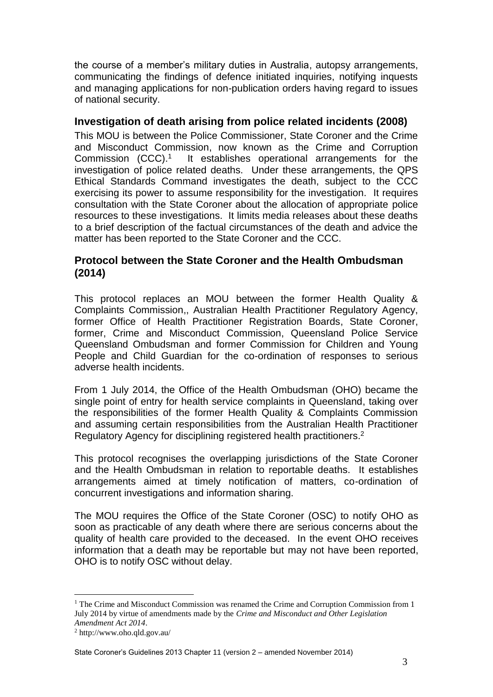the course of a member's military duties in Australia, autopsy arrangements, communicating the findings of defence initiated inquiries, notifying inquests and managing applications for non-publication orders having regard to issues of national security.

### <span id="page-2-0"></span>**Investigation of death arising from police related incidents (2008)**

This MOU is between the Police Commissioner, State Coroner and the Crime and Misconduct Commission, now known as the Crime and Corruption Commission (CCC). 1 It establishes operational arrangements for the investigation of police related deaths. Under these arrangements, the QPS Ethical Standards Command investigates the death, subject to the CCC exercising its power to assume responsibility for the investigation. It requires consultation with the State Coroner about the allocation of appropriate police resources to these investigations. It limits media releases about these deaths to a brief description of the factual circumstances of the death and advice the matter has been reported to the State Coroner and the CCC.

### **Protocol between the State Coroner and the Health Ombudsman (2014)**

This protocol replaces an MOU between the former Health Quality & Complaints Commission,, Australian Health Practitioner Regulatory Agency, former Office of Health Practitioner Registration Boards, State Coroner, former, Crime and Misconduct Commission, Queensland Police Service Queensland Ombudsman and former Commission for Children and Young People and Child Guardian for the co-ordination of responses to serious adverse health incidents.

From 1 July 2014, the Office of the Health Ombudsman (OHO) became the single point of entry for health service complaints in Queensland, taking over the responsibilities of the former Health Quality & Complaints Commission and assuming certain responsibilities from the Australian Health Practitioner Regulatory Agency for disciplining registered health practitioners.<sup>2</sup>

This protocol recognises the overlapping jurisdictions of the State Coroner and the Health Ombudsman in relation to reportable deaths. It establishes arrangements aimed at timely notification of matters, co-ordination of concurrent investigations and information sharing.

The MOU requires the Office of the State Coroner (OSC) to notify OHO as soon as practicable of any death where there are serious concerns about the quality of health care provided to the deceased. In the event OHO receives information that a death may be reportable but may not have been reported, OHO is to notify OSC without delay.

<span id="page-2-1"></span>1

 $1$  The Crime and Misconduct Commission was renamed the Crime and Corruption Commission from 1 July 2014 by virtue of amendments made by the *Crime and Misconduct and Other Legislation Amendment Act 2014*.

<sup>2</sup> http://www.oho.qld.gov.au/